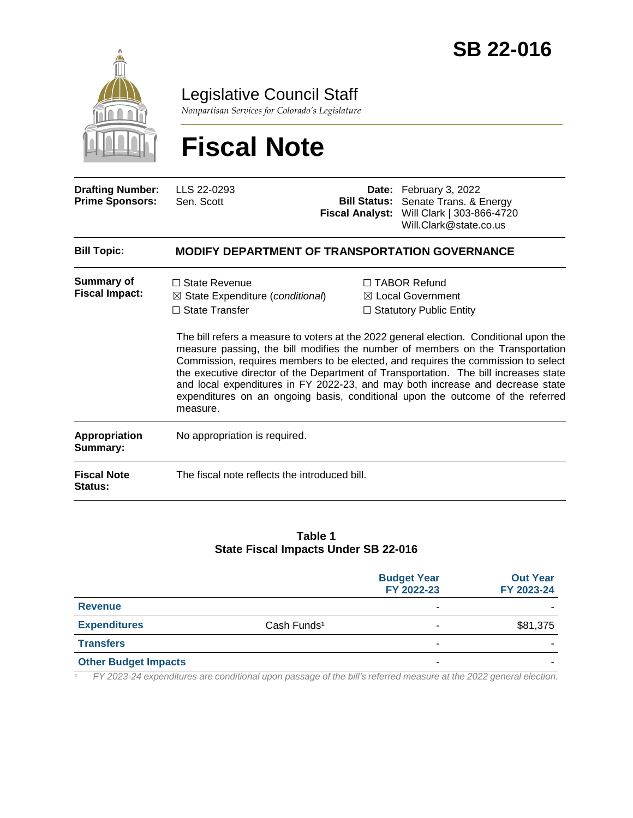

Legislative Council Staff

*Nonpartisan Services for Colorado's Legislature*

# **Fiscal Note**

| <b>Drafting Number:</b><br><b>Prime Sponsors:</b> | LLS 22-0293<br>Sen. Scott                                                                                | Date: February 3, 2022<br><b>Bill Status:</b> Senate Trans. & Energy<br>Fiscal Analyst: Will Clark   303-866-4720<br>Will.Clark@state.co.us                                                                                                                                                                                                                                                                                                                                                                                                                                                                   |
|---------------------------------------------------|----------------------------------------------------------------------------------------------------------|---------------------------------------------------------------------------------------------------------------------------------------------------------------------------------------------------------------------------------------------------------------------------------------------------------------------------------------------------------------------------------------------------------------------------------------------------------------------------------------------------------------------------------------------------------------------------------------------------------------|
| <b>Bill Topic:</b>                                | <b>MODIFY DEPARTMENT OF TRANSPORTATION GOVERNANCE</b>                                                    |                                                                                                                                                                                                                                                                                                                                                                                                                                                                                                                                                                                                               |
| <b>Summary of</b><br><b>Fiscal Impact:</b>        | $\Box$ State Revenue<br>$\boxtimes$ State Expenditure (conditional)<br>$\Box$ State Transfer<br>measure. | □ TABOR Refund<br>$\boxtimes$ Local Government<br>$\Box$ Statutory Public Entity<br>The bill refers a measure to voters at the 2022 general election. Conditional upon the<br>measure passing, the bill modifies the number of members on the Transportation<br>Commission, requires members to be elected, and requires the commission to select<br>the executive director of the Department of Transportation. The bill increases state<br>and local expenditures in FY 2022-23, and may both increase and decrease state<br>expenditures on an ongoing basis, conditional upon the outcome of the referred |
| Appropriation<br>Summary:                         | No appropriation is required.                                                                            |                                                                                                                                                                                                                                                                                                                                                                                                                                                                                                                                                                                                               |
| <b>Fiscal Note</b><br>Status:                     | The fiscal note reflects the introduced bill.                                                            |                                                                                                                                                                                                                                                                                                                                                                                                                                                                                                                                                                                                               |

#### **Table 1 State Fiscal Impacts Under SB 22-016**

|                             |                         | <b>Budget Year</b><br>FY 2022-23 | <b>Out Year</b><br>FY 2023-24 |
|-----------------------------|-------------------------|----------------------------------|-------------------------------|
| <b>Revenue</b>              |                         | -                                |                               |
| <b>Expenditures</b>         | Cash Funds <sup>1</sup> |                                  | \$81,375                      |
| <b>Transfers</b>            |                         | -                                |                               |
| <b>Other Budget Impacts</b> |                         | -                                |                               |

*¹ FY 2023-24 expenditures are conditional upon passage of the bill's referred measure at the 2022 general election.*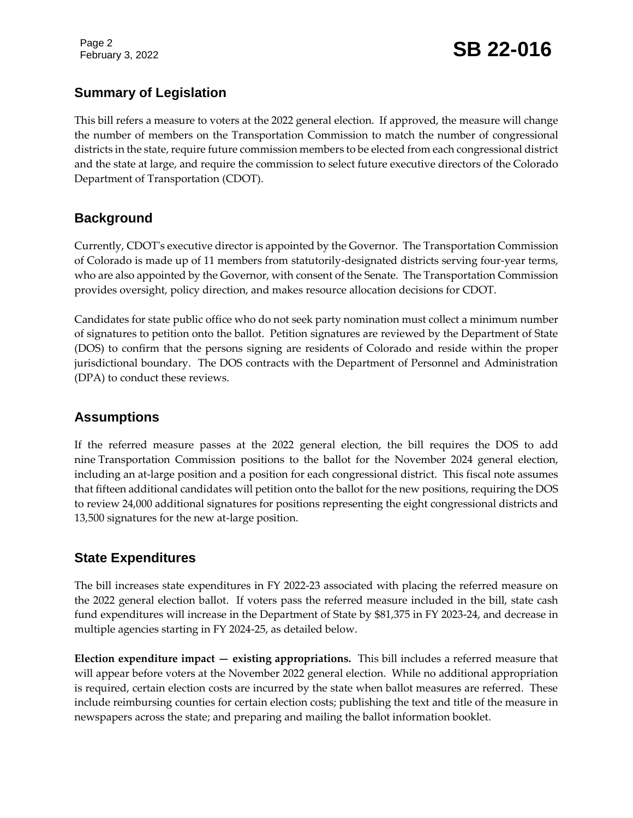Page 2

# February 3, 2022 **SB 22-016**

# **Summary of Legislation**

This bill refers a measure to voters at the 2022 general election. If approved, the measure will change the number of members on the Transportation Commission to match the number of congressional districts in the state, require future commission members to be elected from each congressional district and the state at large, and require the commission to select future executive directors of the Colorado Department of Transportation (CDOT).

#### **Background**

Currently, CDOT's executive director is appointed by the Governor. The Transportation Commission of Colorado is made up of 11 members from statutorily-designated districts serving four-year terms, who are also appointed by the Governor, with consent of the Senate. The Transportation Commission provides oversight, policy direction, and makes resource allocation decisions for CDOT.

Candidates for state public office who do not seek party nomination must collect a minimum number of signatures to petition onto the ballot. Petition signatures are reviewed by the Department of State (DOS) to confirm that the persons signing are residents of Colorado and reside within the proper jurisdictional boundary. The DOS contracts with the Department of Personnel and Administration (DPA) to conduct these reviews.

# **Assumptions**

If the referred measure passes at the 2022 general election, the bill requires the DOS to add nine Transportation Commission positions to the ballot for the November 2024 general election, including an at-large position and a position for each congressional district. This fiscal note assumes that fifteen additional candidates will petition onto the ballot for the new positions, requiring the DOS to review 24,000 additional signatures for positions representing the eight congressional districts and 13,500 signatures for the new at-large position.

# **State Expenditures**

The bill increases state expenditures in FY 2022-23 associated with placing the referred measure on the 2022 general election ballot. If voters pass the referred measure included in the bill, state cash fund expenditures will increase in the Department of State by \$81,375 in FY 2023-24, and decrease in multiple agencies starting in FY 2024-25, as detailed below.

**Election expenditure impact — existing appropriations.** This bill includes a referred measure that will appear before voters at the November 2022 general election. While no additional appropriation is required, certain election costs are incurred by the state when ballot measures are referred. These include reimbursing counties for certain election costs; publishing the text and title of the measure in newspapers across the state; and preparing and mailing the ballot information booklet.